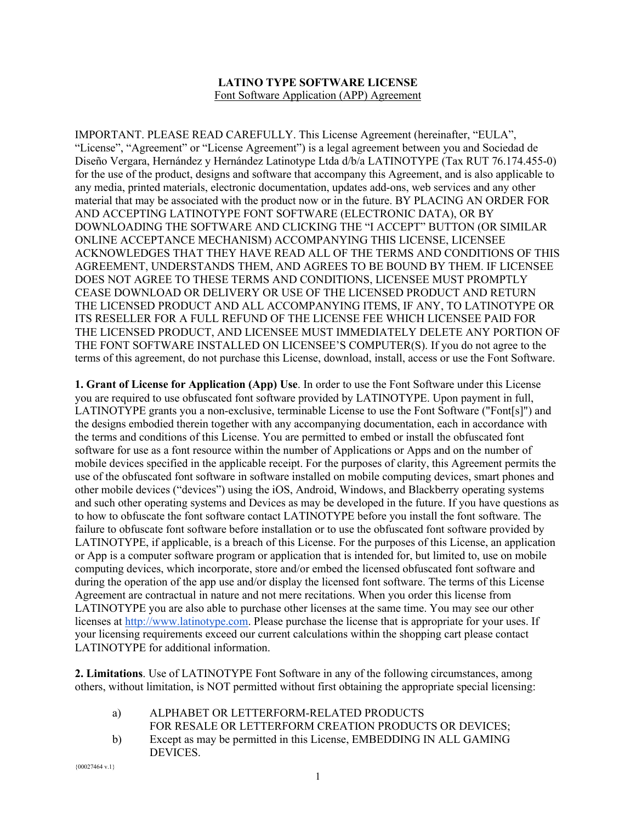## **LATINO TYPE SOFTWARE LICENSE** Font Software Application (APP) Agreement

IMPORTANT. PLEASE READ CAREFULLY. This License Agreement (hereinafter, "EULA", "License", "Agreement" or "License Agreement") is a legal agreement between you and Sociedad de Diseño Vergara, Hernández y Hernández Latinotype Ltda d/b/a LATINOTYPE (Tax RUT 76.174.455-0) for the use of the product, designs and software that accompany this Agreement, and is also applicable to any media, printed materials, electronic documentation, updates add-ons, web services and any other material that may be associated with the product now or in the future. BY PLACING AN ORDER FOR AND ACCEPTING LATINOTYPE FONT SOFTWARE (ELECTRONIC DATA), OR BY DOWNLOADING THE SOFTWARE AND CLICKING THE "I ACCEPT" BUTTON (OR SIMILAR ONLINE ACCEPTANCE MECHANISM) ACCOMPANYING THIS LICENSE, LICENSEE ACKNOWLEDGES THAT THEY HAVE READ ALL OF THE TERMS AND CONDITIONS OF THIS AGREEMENT, UNDERSTANDS THEM, AND AGREES TO BE BOUND BY THEM. IF LICENSEE DOES NOT AGREE TO THESE TERMS AND CONDITIONS, LICENSEE MUST PROMPTLY CEASE DOWNLOAD OR DELIVERY OR USE OF THE LICENSED PRODUCT AND RETURN THE LICENSED PRODUCT AND ALL ACCOMPANYING ITEMS, IF ANY, TO LATINOTYPE OR ITS RESELLER FOR A FULL REFUND OF THE LICENSE FEE WHICH LICENSEE PAID FOR THE LICENSED PRODUCT, AND LICENSEE MUST IMMEDIATELY DELETE ANY PORTION OF THE FONT SOFTWARE INSTALLED ON LICENSEE'S COMPUTER(S). If you do not agree to the terms of this agreement, do not purchase this License, download, install, access or use the Font Software.

**1. Grant of License for Application (App) Use**. In order to use the Font Software under this License you are required to use obfuscated font software provided by LATINOTYPE. Upon payment in full, LATINOTYPE grants you a non-exclusive, terminable License to use the Font Software ("Font[s]") and the designs embodied therein together with any accompanying documentation, each in accordance with the terms and conditions of this License. You are permitted to embed or install the obfuscated font software for use as a font resource within the number of Applications or Apps and on the number of mobile devices specified in the applicable receipt. For the purposes of clarity, this Agreement permits the use of the obfuscated font software in software installed on mobile computing devices, smart phones and other mobile devices ("devices") using the iOS, Android, Windows, and Blackberry operating systems and such other operating systems and Devices as may be developed in the future. If you have questions as to how to obfuscate the font software contact LATINOTYPE before you install the font software. The failure to obfuscate font software before installation or to use the obfuscated font software provided by LATINOTYPE, if applicable, is a breach of this License. For the purposes of this License, an application or App is a computer software program or application that is intended for, but limited to, use on mobile computing devices, which incorporate, store and/or embed the licensed obfuscated font software and during the operation of the app use and/or display the licensed font software. The terms of this License Agreement are contractual in nature and not mere recitations. When you order this license from LATINOTYPE you are also able to purchase other licenses at the same time. You may see our other licenses at http://www.latinotype.com. Please purchase the license that is appropriate for your uses. If your licensing requirements exceed our current calculations within the shopping cart please contact LATINOTYPE for additional information.

**2. Limitations**. Use of LATINOTYPE Font Software in any of the following circumstances, among others, without limitation, is NOT permitted without first obtaining the appropriate special licensing:

- a) ALPHABET OR LETTERFORM-RELATED PRODUCTS
- FOR RESALE OR LETTERFORM CREATION PRODUCTS OR DEVICES;
- b) Except as may be permitted in this License, EMBEDDING IN ALL GAMING DEVICES.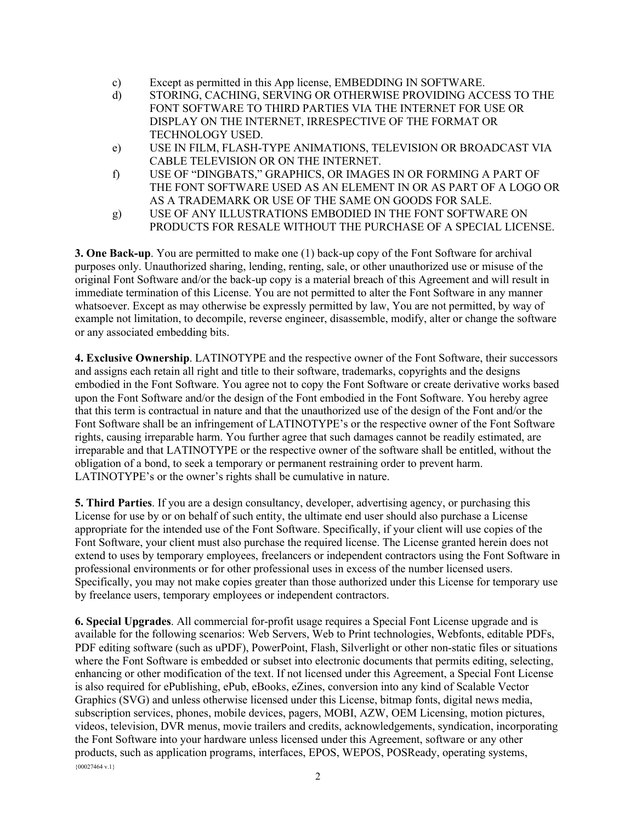- c) Except as permitted in this App license, EMBEDDING IN SOFTWARE.
- d) STORING, CACHING, SERVING OR OTHERWISE PROVIDING ACCESS TO THE FONT SOFTWARE TO THIRD PARTIES VIA THE INTERNET FOR USE OR DISPLAY ON THE INTERNET, IRRESPECTIVE OF THE FORMAT OR TECHNOLOGY USED.
- e) USE IN FILM, FLASH-TYPE ANIMATIONS, TELEVISION OR BROADCAST VIA CABLE TELEVISION OR ON THE INTERNET.
- f) USE OF "DINGBATS," GRAPHICS, OR IMAGES IN OR FORMING A PART OF THE FONT SOFTWARE USED AS AN ELEMENT IN OR AS PART OF A LOGO OR AS A TRADEMARK OR USE OF THE SAME ON GOODS FOR SALE.
- g) USE OF ANY ILLUSTRATIONS EMBODIED IN THE FONT SOFTWARE ON PRODUCTS FOR RESALE WITHOUT THE PURCHASE OF A SPECIAL LICENSE.

**3. One Back-up**. You are permitted to make one (1) back-up copy of the Font Software for archival purposes only. Unauthorized sharing, lending, renting, sale, or other unauthorized use or misuse of the original Font Software and/or the back-up copy is a material breach of this Agreement and will result in immediate termination of this License. You are not permitted to alter the Font Software in any manner whatsoever. Except as may otherwise be expressly permitted by law, You are not permitted, by way of example not limitation, to decompile, reverse engineer, disassemble, modify, alter or change the software or any associated embedding bits.

**4. Exclusive Ownership**. LATINOTYPE and the respective owner of the Font Software, their successors and assigns each retain all right and title to their software, trademarks, copyrights and the designs embodied in the Font Software. You agree not to copy the Font Software or create derivative works based upon the Font Software and/or the design of the Font embodied in the Font Software. You hereby agree that this term is contractual in nature and that the unauthorized use of the design of the Font and/or the Font Software shall be an infringement of LATINOTYPE's or the respective owner of the Font Software rights, causing irreparable harm. You further agree that such damages cannot be readily estimated, are irreparable and that LATINOTYPE or the respective owner of the software shall be entitled, without the obligation of a bond, to seek a temporary or permanent restraining order to prevent harm. LATINOTYPE's or the owner's rights shall be cumulative in nature.

**5. Third Parties**. If you are a design consultancy, developer, advertising agency, or purchasing this License for use by or on behalf of such entity, the ultimate end user should also purchase a License appropriate for the intended use of the Font Software. Specifically, if your client will use copies of the Font Software, your client must also purchase the required license. The License granted herein does not extend to uses by temporary employees, freelancers or independent contractors using the Font Software in professional environments or for other professional uses in excess of the number licensed users. Specifically, you may not make copies greater than those authorized under this License for temporary use by freelance users, temporary employees or independent contractors.

 ${00027464 \text{ v}.1}$ **6. Special Upgrades**. All commercial for-profit usage requires a Special Font License upgrade and is available for the following scenarios: Web Servers, Web to Print technologies, Webfonts, editable PDFs, PDF editing software (such as uPDF), PowerPoint, Flash, Silverlight or other non-static files or situations where the Font Software is embedded or subset into electronic documents that permits editing, selecting, enhancing or other modification of the text. If not licensed under this Agreement, a Special Font License is also required for ePublishing, ePub, eBooks, eZines, conversion into any kind of Scalable Vector Graphics (SVG) and unless otherwise licensed under this License, bitmap fonts, digital news media, subscription services, phones, mobile devices, pagers, MOBI, AZW, OEM Licensing, motion pictures, videos, television, DVR menus, movie trailers and credits, acknowledgements, syndication, incorporating the Font Software into your hardware unless licensed under this Agreement, software or any other products, such as application programs, interfaces, EPOS, WEPOS, POSReady, operating systems,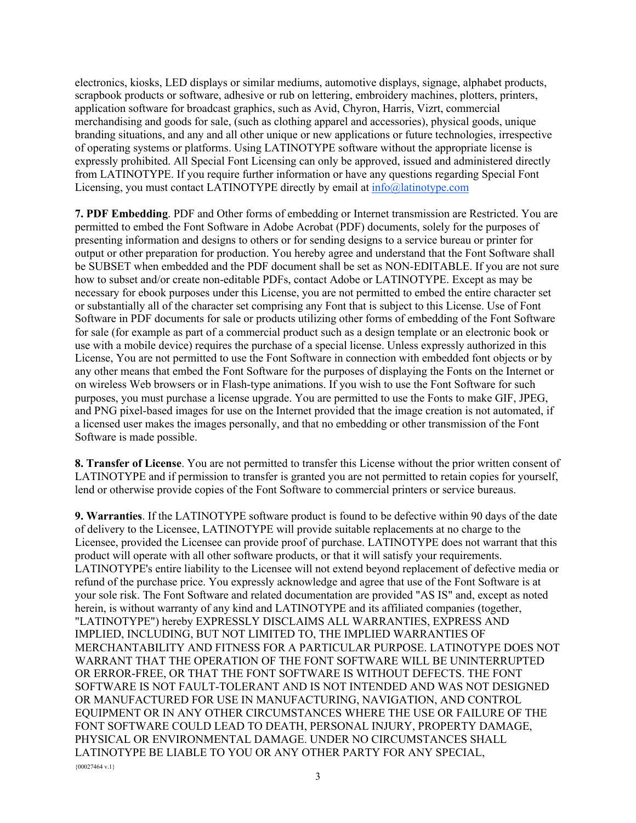electronics, kiosks, LED displays or similar mediums, automotive displays, signage, alphabet products, scrapbook products or software, adhesive or rub on lettering, embroidery machines, plotters, printers, application software for broadcast graphics, such as Avid, Chyron, Harris, Vizrt, commercial merchandising and goods for sale, (such as clothing apparel and accessories), physical goods, unique branding situations, and any and all other unique or new applications or future technologies, irrespective of operating systems or platforms. Using LATINOTYPE software without the appropriate license is expressly prohibited. All Special Font Licensing can only be approved, issued and administered directly from LATINOTYPE. If you require further information or have any questions regarding Special Font Licensing, you must contact LATINOTYPE directly by email at info@latinotype.com

**7. PDF Embedding**. PDF and Other forms of embedding or Internet transmission are Restricted. You are permitted to embed the Font Software in Adobe Acrobat (PDF) documents, solely for the purposes of presenting information and designs to others or for sending designs to a service bureau or printer for output or other preparation for production. You hereby agree and understand that the Font Software shall be SUBSET when embedded and the PDF document shall be set as NON-EDITABLE. If you are not sure how to subset and/or create non-editable PDFs, contact Adobe or LATINOTYPE. Except as may be necessary for ebook purposes under this License, you are not permitted to embed the entire character set or substantially all of the character set comprising any Font that is subject to this License. Use of Font Software in PDF documents for sale or products utilizing other forms of embedding of the Font Software for sale (for example as part of a commercial product such as a design template or an electronic book or use with a mobile device) requires the purchase of a special license. Unless expressly authorized in this License, You are not permitted to use the Font Software in connection with embedded font objects or by any other means that embed the Font Software for the purposes of displaying the Fonts on the Internet or on wireless Web browsers or in Flash-type animations. If you wish to use the Font Software for such purposes, you must purchase a license upgrade. You are permitted to use the Fonts to make GIF, JPEG, and PNG pixel-based images for use on the Internet provided that the image creation is not automated, if a licensed user makes the images personally, and that no embedding or other transmission of the Font Software is made possible.

**8. Transfer of License**. You are not permitted to transfer this License without the prior written consent of LATINOTYPE and if permission to transfer is granted you are not permitted to retain copies for yourself, lend or otherwise provide copies of the Font Software to commercial printers or service bureaus.

 ${00027464 \text{ v}.1}$ **9. Warranties**. If the LATINOTYPE software product is found to be defective within 90 days of the date of delivery to the Licensee, LATINOTYPE will provide suitable replacements at no charge to the Licensee, provided the Licensee can provide proof of purchase. LATINOTYPE does not warrant that this product will operate with all other software products, or that it will satisfy your requirements. LATINOTYPE's entire liability to the Licensee will not extend beyond replacement of defective media or refund of the purchase price. You expressly acknowledge and agree that use of the Font Software is at your sole risk. The Font Software and related documentation are provided "AS IS" and, except as noted herein, is without warranty of any kind and LATINOTYPE and its affiliated companies (together, "LATINOTYPE") hereby EXPRESSLY DISCLAIMS ALL WARRANTIES, EXPRESS AND IMPLIED, INCLUDING, BUT NOT LIMITED TO, THE IMPLIED WARRANTIES OF MERCHANTABILITY AND FITNESS FOR A PARTICULAR PURPOSE. LATINOTYPE DOES NOT WARRANT THAT THE OPERATION OF THE FONT SOFTWARE WILL BE UNINTERRUPTED OR ERROR-FREE, OR THAT THE FONT SOFTWARE IS WITHOUT DEFECTS. THE FONT SOFTWARE IS NOT FAULT-TOLERANT AND IS NOT INTENDED AND WAS NOT DESIGNED OR MANUFACTURED FOR USE IN MANUFACTURING, NAVIGATION, AND CONTROL EQUIPMENT OR IN ANY OTHER CIRCUMSTANCES WHERE THE USE OR FAILURE OF THE FONT SOFTWARE COULD LEAD TO DEATH, PERSONAL INJURY, PROPERTY DAMAGE, PHYSICAL OR ENVIRONMENTAL DAMAGE. UNDER NO CIRCUMSTANCES SHALL LATINOTYPE BE LIABLE TO YOU OR ANY OTHER PARTY FOR ANY SPECIAL,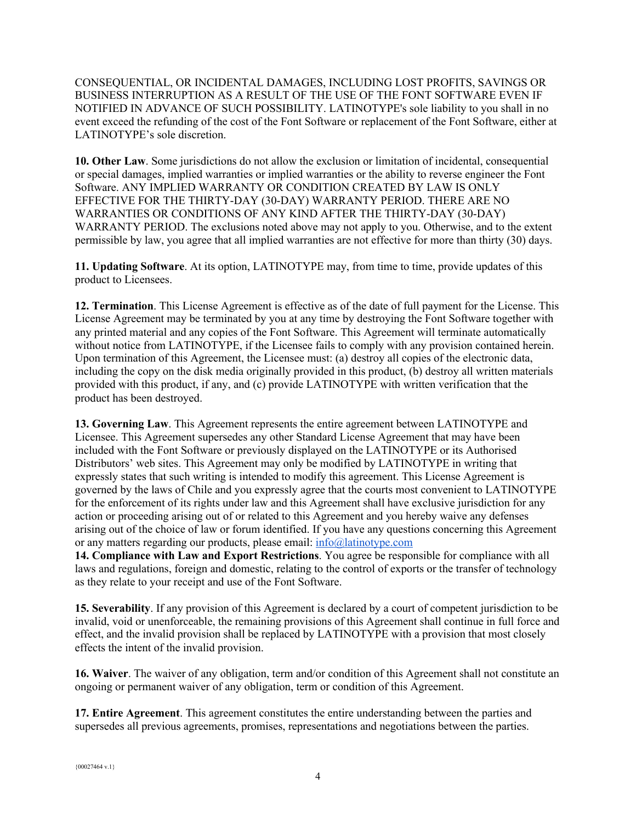CONSEQUENTIAL, OR INCIDENTAL DAMAGES, INCLUDING LOST PROFITS, SAVINGS OR BUSINESS INTERRUPTION AS A RESULT OF THE USE OF THE FONT SOFTWARE EVEN IF NOTIFIED IN ADVANCE OF SUCH POSSIBILITY. LATINOTYPE's sole liability to you shall in no event exceed the refunding of the cost of the Font Software or replacement of the Font Software, either at LATINOTYPE's sole discretion.

**10. Other Law**. Some jurisdictions do not allow the exclusion or limitation of incidental, consequential or special damages, implied warranties or implied warranties or the ability to reverse engineer the Font Software. ANY IMPLIED WARRANTY OR CONDITION CREATED BY LAW IS ONLY EFFECTIVE FOR THE THIRTY-DAY (30-DAY) WARRANTY PERIOD. THERE ARE NO WARRANTIES OR CONDITIONS OF ANY KIND AFTER THE THIRTY-DAY (30-DAY) WARRANTY PERIOD. The exclusions noted above may not apply to you. Otherwise, and to the extent permissible by law, you agree that all implied warranties are not effective for more than thirty (30) days.

**11. Updating Software**. At its option, LATINOTYPE may, from time to time, provide updates of this product to Licensees.

**12. Termination**. This License Agreement is effective as of the date of full payment for the License. This License Agreement may be terminated by you at any time by destroying the Font Software together with any printed material and any copies of the Font Software. This Agreement will terminate automatically without notice from LATINOTYPE, if the Licensee fails to comply with any provision contained herein. Upon termination of this Agreement, the Licensee must: (a) destroy all copies of the electronic data, including the copy on the disk media originally provided in this product, (b) destroy all written materials provided with this product, if any, and (c) provide LATINOTYPE with written verification that the product has been destroyed.

**13. Governing Law**. This Agreement represents the entire agreement between LATINOTYPE and Licensee. This Agreement supersedes any other Standard License Agreement that may have been included with the Font Software or previously displayed on the LATINOTYPE or its Authorised Distributors' web sites. This Agreement may only be modified by LATINOTYPE in writing that expressly states that such writing is intended to modify this agreement. This License Agreement is governed by the laws of Chile and you expressly agree that the courts most convenient to LATINOTYPE for the enforcement of its rights under law and this Agreement shall have exclusive jurisdiction for any action or proceeding arising out of or related to this Agreement and you hereby waive any defenses arising out of the choice of law or forum identified. If you have any questions concerning this Agreement or any matters regarding our products, please email: info@latinotype.com

**14. Compliance with Law and Export Restrictions**. You agree be responsible for compliance with all laws and regulations, foreign and domestic, relating to the control of exports or the transfer of technology as they relate to your receipt and use of the Font Software.

**15. Severability**. If any provision of this Agreement is declared by a court of competent jurisdiction to be invalid, void or unenforceable, the remaining provisions of this Agreement shall continue in full force and effect, and the invalid provision shall be replaced by LATINOTYPE with a provision that most closely effects the intent of the invalid provision.

**16. Waiver**. The waiver of any obligation, term and/or condition of this Agreement shall not constitute an ongoing or permanent waiver of any obligation, term or condition of this Agreement.

**17. Entire Agreement**. This agreement constitutes the entire understanding between the parties and supersedes all previous agreements, promises, representations and negotiations between the parties.